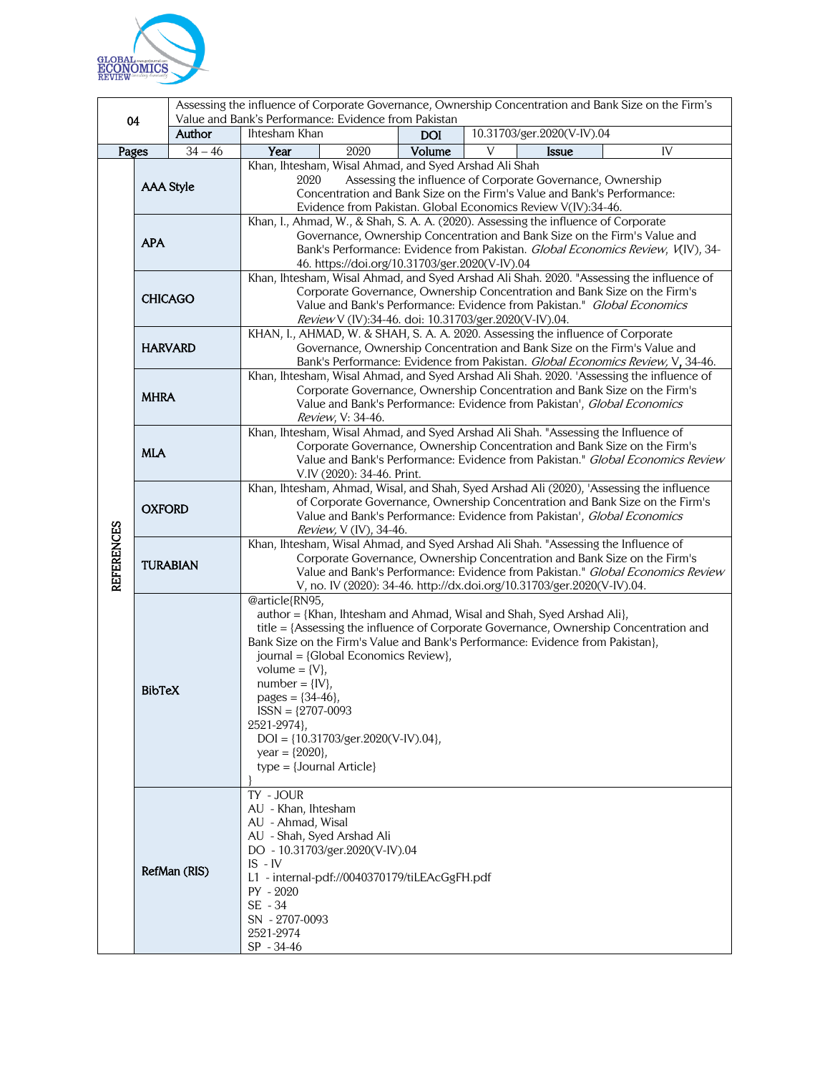

| 04                |                                                                                                                                  | Assessing the influence of Corporate Governance, Ownership Concentration and Bank Size on the Firm's<br>Value and Bank's Performance: Evidence from Pakistan |                                                                                                                                                                                                                                                                                                                                                                                                                                                                                                                                                                                                                                                                                                                                                                                                                                                                                                                                                                                                                                                                                                                                                                                                                                                                                                                                                                                                                                                                                                                                                                                                                              |  |            |   |                            |    |
|-------------------|----------------------------------------------------------------------------------------------------------------------------------|--------------------------------------------------------------------------------------------------------------------------------------------------------------|------------------------------------------------------------------------------------------------------------------------------------------------------------------------------------------------------------------------------------------------------------------------------------------------------------------------------------------------------------------------------------------------------------------------------------------------------------------------------------------------------------------------------------------------------------------------------------------------------------------------------------------------------------------------------------------------------------------------------------------------------------------------------------------------------------------------------------------------------------------------------------------------------------------------------------------------------------------------------------------------------------------------------------------------------------------------------------------------------------------------------------------------------------------------------------------------------------------------------------------------------------------------------------------------------------------------------------------------------------------------------------------------------------------------------------------------------------------------------------------------------------------------------------------------------------------------------------------------------------------------------|--|------------|---|----------------------------|----|
|                   |                                                                                                                                  | Author                                                                                                                                                       | Ihtesham Khan                                                                                                                                                                                                                                                                                                                                                                                                                                                                                                                                                                                                                                                                                                                                                                                                                                                                                                                                                                                                                                                                                                                                                                                                                                                                                                                                                                                                                                                                                                                                                                                                                |  | <b>DOI</b> |   | 10.31703/ger.2020(V-IV).04 |    |
|                   |                                                                                                                                  |                                                                                                                                                              |                                                                                                                                                                                                                                                                                                                                                                                                                                                                                                                                                                                                                                                                                                                                                                                                                                                                                                                                                                                                                                                                                                                                                                                                                                                                                                                                                                                                                                                                                                                                                                                                                              |  |            | V |                            | IV |
| <b>REFERENCES</b> | $\overline{34} - 46$<br>Pages<br><b>AAA Style</b><br><b>APA</b><br><b>CHICAGO</b><br><b>HARVARD</b><br><b>MHRA</b><br><b>MLA</b> |                                                                                                                                                              | Year<br>Volume<br>2020<br>Issue<br>Khan, Ihtesham, Wisal Ahmad, and Syed Arshad Ali Shah<br>Assessing the influence of Corporate Governance, Ownership<br>2020<br>Concentration and Bank Size on the Firm's Value and Bank's Performance:<br>Evidence from Pakistan. Global Economics Review V(IV):34-46.<br>Khan, I., Ahmad, W., & Shah, S. A. A. (2020). Assessing the influence of Corporate<br>Governance, Ownership Concentration and Bank Size on the Firm's Value and<br>Bank's Performance: Evidence from Pakistan. Global Economics Review, V(IV), 34-<br>46. https://doi.org/10.31703/ger.2020(V-IV).04<br>Khan, Ihtesham, Wisal Ahmad, and Syed Arshad Ali Shah. 2020. "Assessing the influence of<br>Corporate Governance, Ownership Concentration and Bank Size on the Firm's<br>Value and Bank's Performance: Evidence from Pakistan." Global Economics<br>Review V (IV):34-46. doi: 10.31703/ger.2020(V-IV).04.<br>KHAN, I., AHMAD, W. & SHAH, S. A. A. 2020. Assessing the influence of Corporate<br>Governance, Ownership Concentration and Bank Size on the Firm's Value and<br>Bank's Performance: Evidence from Pakistan. Global Economics Review, V, 34-46.<br>Khan, Ihtesham, Wisal Ahmad, and Syed Arshad Ali Shah. 2020. 'Assessing the influence of<br>Corporate Governance, Ownership Concentration and Bank Size on the Firm's<br>Value and Bank's Performance: Evidence from Pakistan', Global Economics<br>Review, V: 34-46.<br>Khan, Ihtesham, Wisal Ahmad, and Syed Arshad Ali Shah. "Assessing the Influence of<br>Corporate Governance, Ownership Concentration and Bank Size on the Firm's |  |            |   |                            |    |
|                   | <b>OXFORD</b>                                                                                                                    |                                                                                                                                                              | Value and Bank's Performance: Evidence from Pakistan." Global Economics Review<br>V.IV (2020): 34-46. Print.<br>Khan, Ihtesham, Ahmad, Wisal, and Shah, Syed Arshad Ali (2020), 'Assessing the influence<br>of Corporate Governance, Ownership Concentration and Bank Size on the Firm's<br>Value and Bank's Performance: Evidence from Pakistan', Global Economics<br>Review, V (IV), 34-46.                                                                                                                                                                                                                                                                                                                                                                                                                                                                                                                                                                                                                                                                                                                                                                                                                                                                                                                                                                                                                                                                                                                                                                                                                                |  |            |   |                            |    |
|                   | <b>TURABIAN</b>                                                                                                                  |                                                                                                                                                              | Khan, Ihtesham, Wisal Ahmad, and Syed Arshad Ali Shah. "Assessing the Influence of<br>Corporate Governance, Ownership Concentration and Bank Size on the Firm's<br>Value and Bank's Performance: Evidence from Pakistan." Global Economics Review<br>V, no. IV (2020): 34-46. http://dx.doi.org/10.31703/ger.2020(V-IV).04.                                                                                                                                                                                                                                                                                                                                                                                                                                                                                                                                                                                                                                                                                                                                                                                                                                                                                                                                                                                                                                                                                                                                                                                                                                                                                                  |  |            |   |                            |    |
|                   | <b>BibTeX</b>                                                                                                                    |                                                                                                                                                              | @article{RN95,<br>author = {Khan, Ihtesham and Ahmad, Wisal and Shah, Syed Arshad Ali},<br>title = {Assessing the influence of Corporate Governance, Ownership Concentration and<br>Bank Size on the Firm's Value and Bank's Performance: Evidence from Pakistan},<br>journal = {Global Economics Review},<br>volume = $\{V\},\$<br>$number = \{IV\},$<br>pages = $\{34-46\}$ ,<br>$ISSN = {2707-0093}$<br>2521-2974},<br>$DOI = \{10.31703/ger.2020(V-IV).04\},\$<br>year = ${2020}$ ,<br>$type = {Journal Article}$                                                                                                                                                                                                                                                                                                                                                                                                                                                                                                                                                                                                                                                                                                                                                                                                                                                                                                                                                                                                                                                                                                        |  |            |   |                            |    |
|                   | RefMan (RIS)                                                                                                                     |                                                                                                                                                              | TY - JOUR<br>AU - Khan, Ihtesham<br>AU - Ahmad, Wisal<br>AU - Shah, Syed Arshad Ali<br>DO - 10.31703/ger.2020(V-IV).04<br>$IS$ - $IV$<br>L1 - internal-pdf://0040370179/tiLEAcGgFH.pdf<br>$PY - 2020$<br>SE - 34<br>SN - 2707-0093<br>2521-2974<br>$SP - 34-46$                                                                                                                                                                                                                                                                                                                                                                                                                                                                                                                                                                                                                                                                                                                                                                                                                                                                                                                                                                                                                                                                                                                                                                                                                                                                                                                                                              |  |            |   |                            |    |